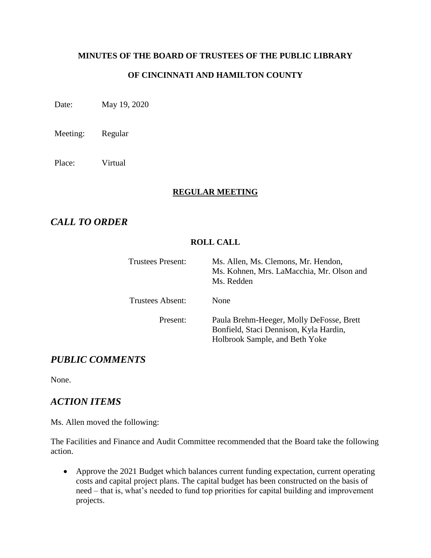#### **MINUTES OF THE BOARD OF TRUSTEES OF THE PUBLIC LIBRARY**

#### **OF CINCINNATI AND HAMILTON COUNTY**

Date: May 19, 2020

Meeting: Regular

Place: Virtual

#### **REGULAR MEETING**

### *CALL TO ORDER*

#### **ROLL CALL**

| Trustees Present: | Ms. Allen, Ms. Clemons, Mr. Hendon,<br>Ms. Kohnen, Mrs. LaMacchia, Mr. Olson and<br>Ms. Redden                       |
|-------------------|----------------------------------------------------------------------------------------------------------------------|
| Trustees Absent:  | None                                                                                                                 |
| Present:          | Paula Brehm-Heeger, Molly DeFosse, Brett<br>Bonfield, Staci Dennison, Kyla Hardin,<br>Holbrook Sample, and Beth Yoke |

#### *PUBLIC COMMENTS*

None.

#### *ACTION ITEMS*

Ms. Allen moved the following:

The Facilities and Finance and Audit Committee recommended that the Board take the following action.

• Approve the 2021 Budget which balances current funding expectation, current operating costs and capital project plans. The capital budget has been constructed on the basis of need – that is, what's needed to fund top priorities for capital building and improvement projects.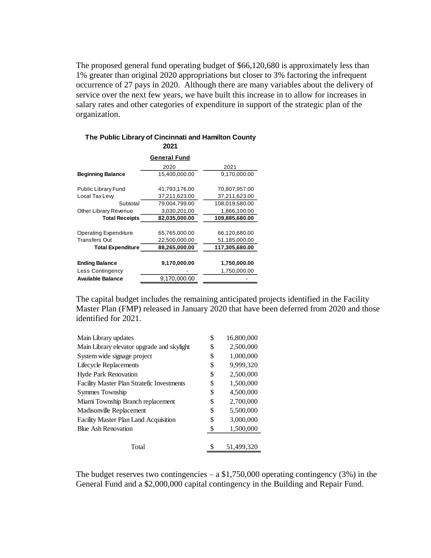The proposed general fund operating budget of \$66,120,680 is approximately less than 1% greater than original 2020 appropriations but closer to 3% factoring the infrequent occurrence of 27 pays in 2020. Although there are many variables about the delivery of service over the next few years, we have built this increase in to allow for increases in salary rates and other categories of expenditure in support of the strategic plan of the organization.

|                              | 2021                |                |
|------------------------------|---------------------|----------------|
|                              | <b>General Fund</b> |                |
|                              | 2020                | 2021           |
| <b>Beginning Balance</b>     | 15,400,000.00       | 9,170,000.00   |
| Public Library Fund          | 41,793,176.00       | 70,807,957.00  |
| Local Tax Lew                | 37,211,623.00       | 37,211,623.00  |
| Subtotal                     | 79,004,799.00       | 108,019,580.00 |
| Other Library Revenue        | 3,030,201.00        | 1,866,100.00   |
| <b>Total Receipts</b>        | 82,035,000.00       | 109,885,680.00 |
|                              |                     |                |
| <b>Operating Expenditure</b> | 65,765,000.00       | 66,120,680.00  |
| Transfers Out                | 22,500,000.00       | 51,185,000.00  |
| <b>Total Expenditure</b>     | 88,265,000.00       | 117,305,680.00 |
|                              |                     |                |
| <b>Ending Balance</b>        | 9,170,000.00        | 1,750,000.00   |
| Less Contingency             |                     | 1,750,000.00   |
| Available Balance            | 9,170,000.00        |                |

# **The Public Library of Cincinnati and Hamilton County**

The capital budget includes the remaining anticipated projects identified in the Facility Master Plan (FMP) released in January 2020 that have been deferred from 2020 and those identified for 2021.

| \$<br>16,800,000 |
|------------------|
| \$<br>2.500,000  |
| \$<br>1,000,000  |
| \$<br>9,999,320  |
| \$<br>2,500,000  |
| \$<br>1.500.000  |
| \$<br>4.500,000  |
| \$<br>2,700,000  |
| \$<br>5,500,000  |
| \$<br>3,000,000  |
| \$<br>1,500,000  |
|                  |
| 51.499.320       |
|                  |

The budget reserves two contingencies  $- a $1,750,000$  operating contingency (3%) in the General Fund and a \$2,000,000 capital contingency in the Building and Repair Fund.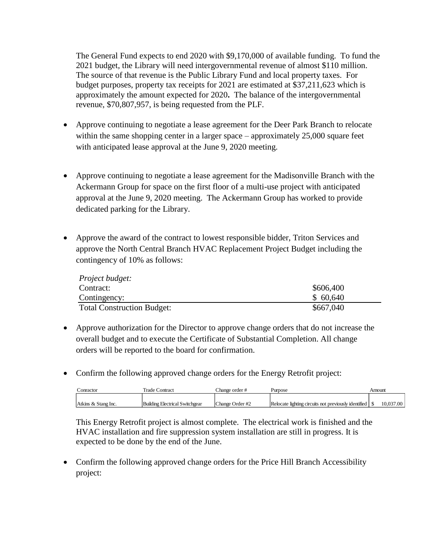The General Fund expects to end 2020 with \$9,170,000 of available funding. To fund the 2021 budget, the Library will need intergovernmental revenue of almost \$110 million. The source of that revenue is the Public Library Fund and local property taxes. For budget purposes, property tax receipts for 2021 are estimated at \$37,211,623 which is approximately the amount expected for 2020**.** The balance of the intergovernmental revenue, \$70,807,957, is being requested from the PLF.

- Approve continuing to negotiate a lease agreement for the Deer Park Branch to relocate within the same shopping center in a larger space – approximately 25,000 square feet with anticipated lease approval at the June 9, 2020 meeting.
- Approve continuing to negotiate a lease agreement for the Madisonville Branch with the Ackermann Group for space on the first floor of a multi-use project with anticipated approval at the June 9, 2020 meeting. The Ackermann Group has worked to provide dedicated parking for the Library.
- Approve the award of the contract to lowest responsible bidder, Triton Services and approve the North Central Branch HVAC Replacement Project Budget including the contingency of 10% as follows:

| Project budget:                   |           |
|-----------------------------------|-----------|
| Contract:                         | \$606,400 |
| Contingency:                      | \$60,640  |
| <b>Total Construction Budget:</b> | \$667,040 |

- Approve authorization for the Director to approve change orders that do not increase the overall budget and to execute the Certificate of Substantial Completion. All change orders will be reported to the board for confirmation.
- Confirm the following approved change orders for the Energy Retrofit project:

| Conractor           | Trade Contract                 | Change order #  | Purpose                                              | Amount    |
|---------------------|--------------------------------|-----------------|------------------------------------------------------|-----------|
| Atkins & Stang Inc. | Building Electrical Switchgear | Change Order #2 | Relocate lighting circuits not previously identified | 10.037.00 |
|                     |                                |                 |                                                      |           |

This Energy Retrofit project is almost complete. The electrical work is finished and the HVAC installation and fire suppression system installation are still in progress. It is expected to be done by the end of the June.

• Confirm the following approved change orders for the Price Hill Branch Accessibility project: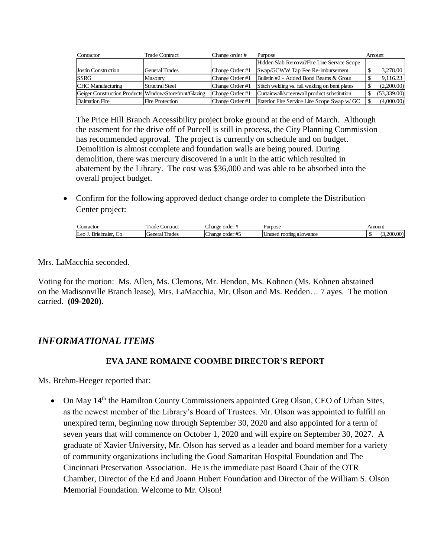| Conractor                                              | <b>Trade Contract</b>  | Change order #  | Purpose                                        | Amount      |
|--------------------------------------------------------|------------------------|-----------------|------------------------------------------------|-------------|
|                                                        |                        |                 | Hidden Slab Removal/Fire Line Service Scope    |             |
| Jostin Construction                                    | <b>General Trades</b>  | Change Order #1 | Swap/GCWW Tap Fee Re-imbursement               | 3,278.00    |
| <b>SSRG</b>                                            | Masonry                | Change Order #1 | Bulletin #2 - Added Bond Beams & Grout         | 9,116.23    |
| CHC Manufacturing                                      | Structral Steel        | Change Order #1 | Stitch welding vs. full welding on bent plates | (2,200.00)  |
| Geiger Construction Products Window/Storefront/Glazing |                        | Change Order #1 | Curtainwall/screenwall product substitution    | (53,339.00) |
| Dalmation Fire                                         | <b>Fire Protection</b> | Change Order #1 | Exterior Fire Service Line Scope Swap w/ GC    | (4,000.00)  |

The Price Hill Branch Accessibility project broke ground at the end of March. Although the easement for the drive off of Purcell is still in process, the City Planning Commission has recommended approval. The project is currently on schedule and on budget. Demolition is almost complete and foundation walls are being poured. During demolition, there was mercury discovered in a unit in the attic which resulted in abatement by the Library. The cost was \$36,000 and was able to be absorbed into the overall project budget.

• Confirm for the following approved deduct change order to complete the Distribution Center project:

| onracto.                      | $\mathbf{r}$<br>ontract<br>Trade                                                    | Change<br>ord<br>$\sim$                        | Purpose                    | Amount        |
|-------------------------------|-------------------------------------------------------------------------------------|------------------------------------------------|----------------------------|---------------|
| <br>elmaier<br>$\alpha$<br>ັບ | $\overline{\phantom{a}}$<br><b>.</b><br>eneral<br>l rodoc<br>$\overline{\text{14}}$ | $\sim$<br>$_{\rm -}$ hange<br>order<br>$\pi$ . | Jnuse<br>roofing allowance | $\sim$ $\sim$ |

Mrs. LaMacchia seconded.

Voting for the motion: Ms. Allen, Ms. Clemons, Mr. Hendon, Ms. Kohnen (Ms. Kohnen abstained on the Madisonville Branch lease), Mrs. LaMacchia, Mr. Olson and Ms. Redden… 7 ayes. The motion carried. **(09-2020)**.

### *INFORMATIONAL ITEMS*

#### **EVA JANE ROMAINE COOMBE DIRECTOR'S REPORT**

Ms. Brehm-Heeger reported that:

• On May 14<sup>th</sup> the Hamilton County Commissioners appointed Greg Olson, CEO of Urban Sites, as the newest member of the Library's Board of Trustees. Mr. Olson was appointed to fulfill an unexpired term, beginning now through September 30, 2020 and also appointed for a term of seven years that will commence on October 1, 2020 and will expire on September 30, 2027. A graduate of Xavier University, Mr. Olson has served as a leader and board member for a variety of community organizations including the Good Samaritan Hospital Foundation and The Cincinnati Preservation Association. He is the immediate past Board Chair of the OTR Chamber, Director of the Ed and Joann Hubert Foundation and Director of the William S. Olson Memorial Foundation. Welcome to Mr. Olson!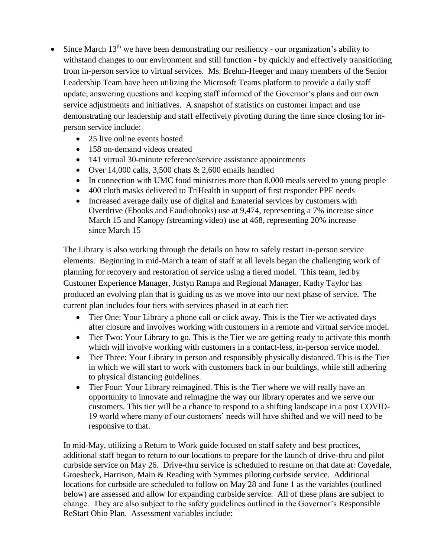- Since March  $13<sup>th</sup>$  we have been demonstrating our resiliency our organization's ability to withstand changes to our environment and still function - by quickly and effectively transitioning from in-person service to virtual services. Ms. Brehm-Heeger and many members of the Senior Leadership Team have been utilizing the Microsoft Teams platform to provide a daily staff update, answering questions and keeping staff informed of the Governor's plans and our own service adjustments and initiatives. A snapshot of statistics on customer impact and use demonstrating our leadership and staff effectively pivoting during the time since closing for inperson service include:
	- 25 live online events hosted
	- 158 on-demand videos created
	- 141 virtual 30-minute reference/service assistance appointments
	- Over 14,000 calls, 3,500 chats  $& 2,600$  emails handled
	- In connection with UMC food ministries more than 8,000 meals served to young people
	- 400 cloth masks delivered to TriHealth in support of first responder PPE needs
	- Increased average daily use of digital and Ematerial services by customers with Overdrive (Ebooks and Eaudiobooks) use at 9,474, representing a 7% increase since March 15 and Kanopy (streaming video) use at 468, representing 20% increase since March 15

The Library is also working through the details on how to safely restart in-person service elements. Beginning in mid-March a team of staff at all levels began the challenging work of planning for recovery and restoration of service using a tiered model. This team, led by Customer Experience Manager, Justyn Rampa and Regional Manager, Kathy Taylor has produced an evolving plan that is guiding us as we move into our next phase of service. The current plan includes four tiers with services phased in at each tier:

- Tier One: Your Library a phone call or click away. This is the Tier we activated days after closure and involves working with customers in a remote and virtual service model.
- Tier Two: Your Library to go. This is the Tier we are getting ready to activate this month which will involve working with customers in a contact-less, in-person service model.
- Tier Three: Your Library in person and responsibly physically distanced. This is the Tier in which we will start to work with customers back in our buildings, while still adhering to physical distancing guidelines.
- Tier Four: Your Library reimagined. This is the Tier where we will really have an opportunity to innovate and reimagine the way our library operates and we serve our customers. This tier will be a chance to respond to a shifting landscape in a post COVID-19 world where many of our customers' needs will have shifted and we will need to be responsive to that.

In mid-May, utilizing a Return to Work guide focused on staff safety and best practices, additional staff began to return to our locations to prepare for the launch of drive-thru and pilot curbside service on May 26. Drive-thru service is scheduled to resume on that date at: Covedale, Groesbeck, Harrison, Main & Reading with Symmes piloting curbside service. Additional locations for curbside are scheduled to follow on May 28 and June 1 as the variables (outlined below) are assessed and allow for expanding curbside service.All of these plans are subject to change. They are also subject to the safety guidelines outlined in the Governor's [Responsible](https://governor.ohio.gov/wps/portal/gov/governor/media/news-and-media/covid19-update-april-27)  [ReStart Ohio Plan.](https://governor.ohio.gov/wps/portal/gov/governor/media/news-and-media/covid19-update-april-27) Assessment variables include: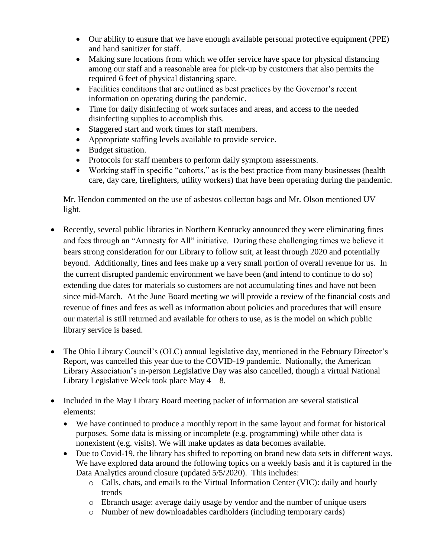- Our ability to ensure that we have enough available personal protective equipment (PPE) and hand sanitizer for staff.
- Making sure locations from which we offer service have space for physical distancing among our staff and a reasonable area for pick-up by customers that also permits the required 6 feet of physical distancing space.
- Facilities conditions that are outlined as best practices by the Governor's recent information on operating during the pandemic.
- Time for daily disinfecting of work surfaces and areas, and access to the needed disinfecting supplies to accomplish this.
- Staggered start and work times for staff members.
- Appropriate staffing levels available to provide service.
- Budget situation.
- Protocols for staff members to perform daily symptom assessments.
- Working staff in specific "cohorts," as is the best practice from many businesses (health care, day care, firefighters, utility workers) that have been operating during the pandemic.

Mr. Hendon commented on the use of asbestos collecton bags and Mr. Olson mentioned UV light.

- Recently, several public libraries in Northern Kentucky announced they were eliminating fines and fees through an "Amnesty for All" initiative. During these challenging times we believe it bears strong consideration for our Library to follow suit, at least through 2020 and potentially beyond. Additionally, fines and fees make up a very small portion of overall revenue for us. In the current disrupted pandemic environment we have been (and intend to continue to do so) extending due dates for materials so customers are not accumulating fines and have not been since mid-March. At the June Board meeting we will provide a review of the financial costs and revenue of fines and fees as well as information about policies and procedures that will ensure our material is still returned and available for others to use, as is the model on which public library service is based.
- The Ohio Library Council's (OLC) annual legislative day, mentioned in the February Director's Report, was cancelled this year due to the COVID-19 pandemic. Nationally, the American Library Association's in-person Legislative Day was also cancelled, though a virtual National Library Legislative Week took place May  $4 - 8$ .
- Included in the May Library Board meeting packet of information are several statistical elements:
	- We have continued to produce a monthly report in the same layout and format for historical purposes. Some data is missing or incomplete (e.g. programming) while other data is nonexistent (e.g. visits). We will make updates as data becomes available.
	- Due to Covid-19, the library has shifted to reporting on brand new data sets in different ways. We have explored data around the following topics on a weekly basis and it is captured in the Data Analytics around closure (updated 5/5/2020). This includes:
		- $\circ$  Calls, chats, and emails to the Virtual Information Center (VIC): daily and hourly trends
		- o Ebranch usage: average daily usage by vendor and the number of unique users
		- o Number of new downloadables cardholders (including temporary cards)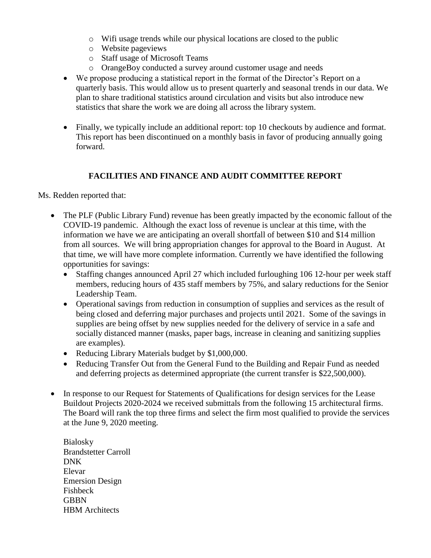- o Wifi usage trends while our physical locations are closed to the public
- o Website pageviews
- o Staff usage of Microsoft Teams
- o OrangeBoy conducted a survey around customer usage and needs
- We propose producing a statistical report in the format of the Director's Report on a quarterly basis. This would allow us to present quarterly and seasonal trends in our data. We plan to share traditional statistics around circulation and visits but also introduce new statistics that share the work we are doing all across the library system.
- Finally, we typically include an additional report: top 10 checkouts by audience and format. This report has been discontinued on a monthly basis in favor of producing annually going forward.

#### **FACILITIES AND FINANCE AND AUDIT COMMITTEE REPORT**

Ms. Redden reported that:

- The PLF (Public Library Fund) revenue has been greatly impacted by the economic fallout of the COVID-19 pandemic.Although the exact loss of revenue is unclear at this time, with the information we have we are anticipating an overall shortfall of between \$10 and \$14 million from all sources. We will bring appropriation changes for approval to the Board in August. At that time, we will have more complete information. Currently we have identified the following opportunities for savings:
	- Staffing changes announced April 27 which included furloughing 106 12-hour per week staff members, reducing hours of 435 staff members by 75%, and salary reductions for the Senior Leadership Team.
	- Operational savings from reduction in consumption of supplies and services as the result of being closed and deferring major purchases and projects until 2021. Some of the savings in supplies are being offset by new supplies needed for the delivery of service in a safe and socially distanced manner (masks, paper bags, increase in cleaning and sanitizing supplies are examples).
	- Reducing Library Materials budget by \$1,000,000.
	- Reducing Transfer Out from the General Fund to the Building and Repair Fund as needed and deferring projects as determined appropriate (the current transfer is \$22,500,000).
- In response to our Request for Statements of Qualifications for design services for the Lease Buildout Projects 2020-2024 we received submittals from the following 15 architectural firms. The Board will rank the top three firms and select the firm most qualified to provide the services at the June 9, 2020 meeting.
	- Bialosky Brandstetter Carroll DNK Elevar Emersion Design Fishbeck **GBBN** HBM Architects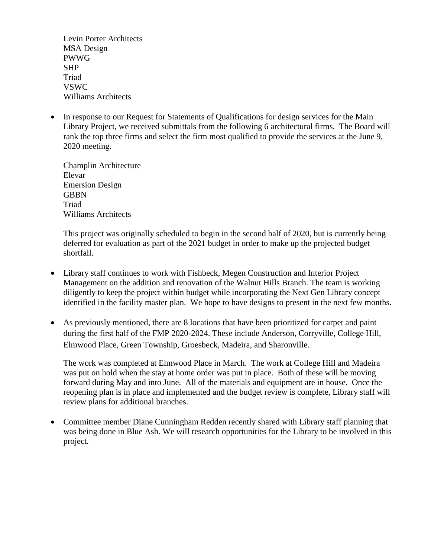Levin Porter Architects MSA Design PWWG SHP Triad VSWC Williams Architects

• In response to our Request for Statements of Qualifications for design services for the Main Library Project, we received submittals from the following 6 architectural firms. The Board will rank the top three firms and select the firm most qualified to provide the services at the June 9, 2020 meeting.

Champlin Architecture Elevar Emersion Design **GBBN** Triad Williams Architects

This project was originally scheduled to begin in the second half of 2020, but is currently being deferred for evaluation as part of the 2021 budget in order to make up the projected budget shortfall.

- Library staff continues to work with Fishbeck, Megen Construction and Interior Project Management on the addition and renovation of the Walnut Hills Branch. The team is working diligently to keep the project within budget while incorporating the Next Gen Library concept identified in the facility master plan. We hope to have designs to present in the next few months.
- As previously mentioned, there are 8 locations that have been prioritized for carpet and paint during the first half of the FMP 2020-2024. These include Anderson, Corryville, College Hill, Elmwood Place, Green Township, Groesbeck, Madeira, and Sharonville.

The work was completed at Elmwood Place in March. The work at College Hill and Madeira was put on hold when the stay at home order was put in place. Both of these will be moving forward during May and into June. All of the materials and equipment are in house. Once the reopening plan is in place and implemented and the budget review is complete, Library staff will review plans for additional branches.

• Committee member Diane Cunningham Redden recently shared with Library staff planning that was being done in Blue Ash. We will research opportunities for the Library to be involved in this project.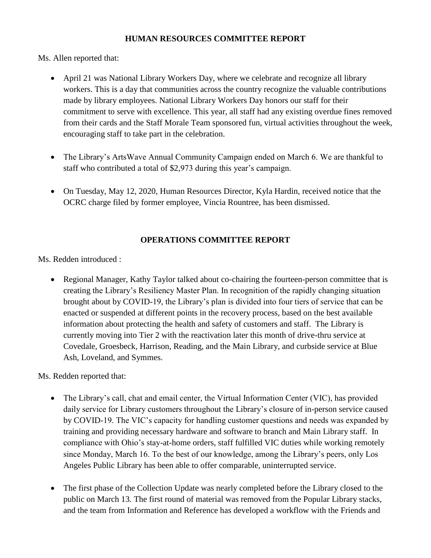#### **HUMAN RESOURCES COMMITTEE REPORT**

Ms. Allen reported that:

- April 21 was National Library Workers Day, where we celebrate and recognize all library workers. This is a day that communities across the country recognize the valuable contributions made by library employees. National Library Workers Day honors our staff for their commitment to serve with excellence. This year, all staff had any existing overdue fines removed from their cards and the Staff Morale Team sponsored fun, virtual activities throughout the week, encouraging staff to take part in the celebration.
- The Library's ArtsWave Annual Community Campaign ended on March 6. We are thankful to staff who contributed a total of \$2,973 during this year's campaign.
- On Tuesday, May 12, 2020, Human Resources Director, Kyla Hardin, received notice that the OCRC charge filed by former employee, Vincia Rountree, has been dismissed.

#### **OPERATIONS COMMITTEE REPORT**

Ms. Redden introduced :

• Regional Manager, Kathy Taylor talked about co-chairing the fourteen-person committee that is creating the Library's Resiliency Master Plan. In recognition of the rapidly changing situation brought about by COVID-19, the Library's plan is divided into four tiers of service that can be enacted or suspended at different points in the recovery process, based on the best available information about protecting the health and safety of customers and staff. The Library is currently moving into Tier 2 with the reactivation later this month of drive-thru service at Covedale, Groesbeck, Harrison, Reading, and the Main Library, and curbside service at Blue Ash, Loveland, and Symmes.

Ms. Redden reported that:

- The Library's call, chat and email center, the Virtual Information Center (VIC), has provided daily service for Library customers throughout the Library's closure of in-person service caused by COVID-19. The VIC's capacity for handling customer questions and needs was expanded by training and providing necessary hardware and software to branch and Main Library staff. In compliance with Ohio's stay-at-home orders, staff fulfilled VIC duties while working remotely since Monday, March 16. To the best of our knowledge, among the Library's peers, only Los Angeles Public Library has been able to offer comparable, uninterrupted service.
- The first phase of the Collection Update was nearly completed before the Library closed to the public on March 13. The first round of material was removed from the Popular Library stacks, and the team from Information and Reference has developed a workflow with the Friends and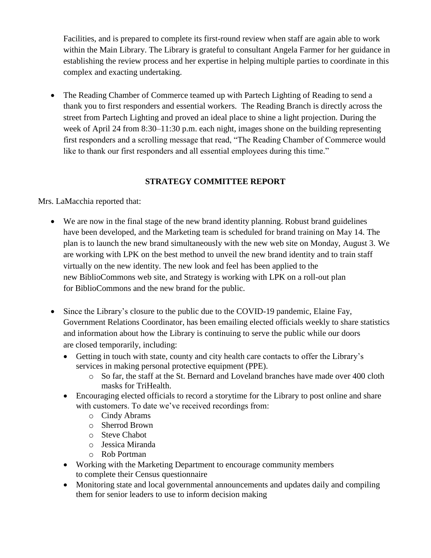Facilities, and is prepared to complete its first-round review when staff are again able to work within the Main Library. The Library is grateful to consultant Angela Farmer for her guidance in establishing the review process and her expertise in helping multiple parties to coordinate in this complex and exacting undertaking.

• The Reading Chamber of Commerce teamed up with Partech Lighting of Reading to send a thank you to first responders and essential workers.The Reading Branch is directly across the street from Partech Lighting and proved an ideal place to shine a light projection. During the week of April 24 from 8:30–11:30 p.m. each night, images shone on the building representing first responders and a scrolling message that read, "The Reading Chamber of Commerce would like to thank our first responders and all essential employees during this time."

#### **STRATEGY COMMITTEE REPORT**

Mrs. LaMacchia reported that:

- We are now in the final stage of the new brand identity planning. Robust brand guidelines have been developed, and the Marketing team is scheduled for brand training on May 14. The plan is to launch the new brand simultaneously with the new web site on Monday, August 3. We are working with LPK on the best method to unveil the new brand identity and to train staff virtually on the new identity. The new look and feel has been applied to the new BiblioCommons web site, and Strategy is working with LPK on a roll-out plan for BiblioCommons and the new brand for the public.
- Since the Library's closure to the public due to the COVID-19 pandemic, Elaine Fay, Government Relations Coordinator, has been emailing elected officials weekly to share statistics and information about how the Library is continuing to serve the public while our doors are closed temporarily, including:
	- Getting in touch with state, county and city health care contacts to offer the Library's services in making personal protective equipment (PPE).
		- o So far, the staff at the St. Bernard and Loveland branches have made over 400 cloth masks for TriHealth.
	- Encouraging elected officials to record a storytime for the Library to post online and share with customers. To date we've received recordings from:
		- o Cindy Abrams
		- o Sherrod Brown
		- o Steve Chabot
		- o Jessica Miranda
		- o Rob Portman
	- Working with the Marketing Department to encourage community members to complete their Census questionnaire
	- Monitoring state and local governmental announcements and updates daily and compiling them for senior leaders to use to inform decision making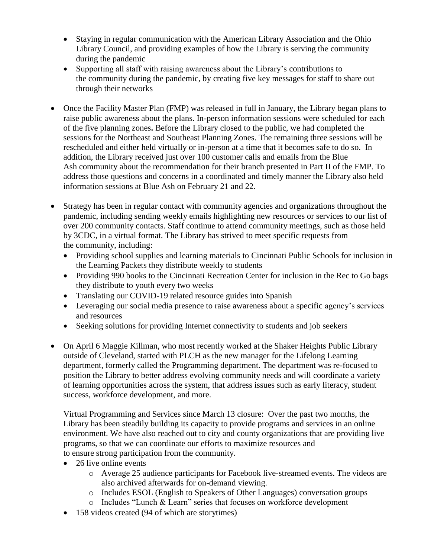- Staying in regular communication with the American Library Association and the Ohio Library Council, and providing examples of how the Library is serving the community during the pandemic
- Supporting all staff with raising awareness about the Library's contributions to the community during the pandemic, by creating five key messages for staff to share out through their networks
- Once the Facility Master Plan (FMP) was released in full in January, the Library began plans to raise public awareness about the plans. In-person information sessions were scheduled for each of the five planning zones**.** Before the Library closed to the public, we had completed the sessions for the Northeast and Southeast Planning Zones. The remaining three sessions will be rescheduled and either held virtually or in-person at a time that it becomes safe to do so. In addition, the Library received just over 100 customer calls and emails from the Blue Ash community about the recommendation for their branch presented in Part II of the FMP. To address those questions and concerns in a coordinated and timely manner the Library also held information sessions at Blue Ash on February 21 and 22.
- Strategy has been in regular contact with community agencies and organizations throughout the pandemic, including sending weekly emails highlighting new resources or services to our list of over 200 community contacts. Staff continue to attend community meetings, such as those held by 3CDC, in a virtual format. The Library has strived to meet specific requests from the community, including:
	- Providing school supplies and learning materials to Cincinnati Public Schools for inclusion in the Learning Packets they distribute weekly to students
	- Providing 990 books to the Cincinnati Recreation Center for inclusion in the Rec to Go bags they distribute to youth every two weeks
	- Translating our COVID-19 related resource guides into Spanish
	- Leveraging our social media presence to raise awareness about a specific agency's services and resources
	- Seeking solutions for providing Internet connectivity to students and job seekers
- On April 6 Maggie Killman, who most recently worked at the Shaker Heights Public Library outside of Cleveland, started with PLCH as the new manager for the Lifelong Learning department, formerly called the Programming department. The department was re-focused to position the Library to better address evolving community needs and will coordinate a variety of learning opportunities across the system, that address issues such as early literacy, student success, workforce development, and more.

Virtual Programming and Services since March 13 closure: Over the past two months, the Library has been steadily building its capacity to provide programs and services in an online environment. We have also reached out to city and county organizations that are providing live programs, so that we can coordinate our efforts to maximize resources and to ensure strong participation from the community.

- 26 live online events
	- o Average 25 audience participants for Facebook live-streamed events. The videos are also archived afterwards for on-demand viewing.
	- o Includes ESOL (English to Speakers of Other Languages) conversation groups
	- o Includes "Lunch & Learn" series that focuses on workforce development
- 158 videos created (94 of which are storytimes)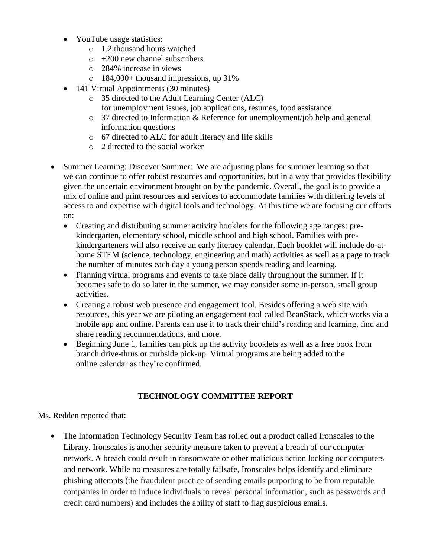- YouTube usage statistics:
	- o 1.2 thousand hours watched
	- $\circ$  +200 new channel subscribers
	- o 284% increase in views
	- o 184,000+ thousand impressions, up 31%
- 141 Virtual Appointments (30 minutes)
	- o 35 directed to the Adult Learning Center (ALC) for unemployment issues, job applications, resumes, food assistance
	- o 37 directed to Information & Reference for unemployment/job help and general information questions
	- o 67 directed to ALC for adult literacy and life skills
	- o 2 directed to the social worker
- Summer Learning: Discover Summer: We are adjusting plans for summer learning so that we can continue to offer robust resources and opportunities, but in a way that provides flexibility given the uncertain environment brought on by the pandemic. Overall, the goal is to provide a mix of online and print resources and services to accommodate families with differing levels of access to and expertise with digital tools and technology. At this time we are focusing our efforts on:
	- Creating and distributing summer activity booklets for the following age ranges: prekindergarten, elementary school, middle school and high school. Families with prekindergarteners will also receive an early literacy calendar. Each booklet will include do-athome STEM (science, technology, engineering and math) activities as well as a page to track the number of minutes each day a young person spends reading and learning.
	- Planning virtual programs and events to take place daily throughout the summer. If it becomes safe to do so later in the summer, we may consider some in-person, small group activities.
	- Creating a robust web presence and engagement tool. Besides offering a web site with resources, this year we are piloting an engagement tool called BeanStack, which works via a mobile app and online. Parents can use it to track their child's reading and learning, find and share reading recommendations, and more.
	- Beginning June 1, families can pick up the activity booklets as well as a free book from branch drive-thrus or curbside pick-up. Virtual programs are being added to the online calendar as they're confirmed.

#### **TECHNOLOGY COMMITTEE REPORT**

#### Ms. Redden reported that:

• The Information Technology Security Team has rolled out a product called Ironscales to the Library. Ironscales is another security measure taken to prevent a breach of our computer network. A breach could result in ransomware or other malicious action locking our computers and network. While no measures are totally failsafe, Ironscales helps identify and eliminate phishing attempts (the fraudulent practice of sending emails purporting to be from reputable companies in order to induce individuals to reveal personal information, such as passwords and credit card numbers) and includes the ability of staff to flag suspicious emails.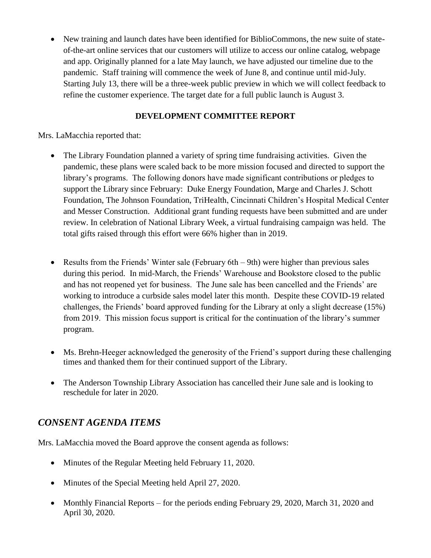• New training and launch dates have been identified for BiblioCommons, the new suite of stateof-the-art online services that our customers will utilize to access our online catalog, webpage and app. Originally planned for a late May launch, we have adjusted our timeline due to the pandemic. Staff training will commence the week of June 8, and continue until mid-July. Starting July 13, there will be a three-week public preview in which we will collect feedback to refine the customer experience. The target date for a full public launch is August 3.

### **DEVELOPMENT COMMITTEE REPORT**

Mrs. LaMacchia reported that:

- The Library Foundation planned a variety of spring time fundraising activities. Given the pandemic, these plans were scaled back to be more mission focused and directed to support the library's programs. The following donors have made significant contributions or pledges to support the Library since February: Duke Energy Foundation, Marge and Charles J. Schott Foundation, The Johnson Foundation, TriHealth, Cincinnati Children's Hospital Medical Center and Messer Construction. Additional grant funding requests have been submitted and are under review. In celebration of National Library Week, a virtual fundraising campaign was held. The total gifts raised through this effort were 66% higher than in 2019.
- Results from the Friends' Winter sale (February 6th 9th) were higher than previous sales during this period. In mid-March, the Friends' Warehouse and Bookstore closed to the public and has not reopened yet for business. The June sale has been cancelled and the Friends' are working to introduce a curbside sales model later this month. Despite these COVID-19 related challenges, the Friends' board approved funding for the Library at only a slight decrease (15%) from 2019. This mission focus support is critical for the continuation of the library's summer program.
- Ms. Brehn-Heeger acknowledged the generosity of the Friend's support during these challenging times and thanked them for their continued support of the Library.
- The Anderson Township Library Association has cancelled their June sale and is looking to reschedule for later in 2020.

## *CONSENT AGENDA ITEMS*

Mrs. LaMacchia moved the Board approve the consent agenda as follows:

- Minutes of the Regular Meeting held February 11, 2020.
- Minutes of the Special Meeting held April 27, 2020.
- Monthly Financial Reports for the periods ending February 29, 2020, March 31, 2020 and April 30, 2020.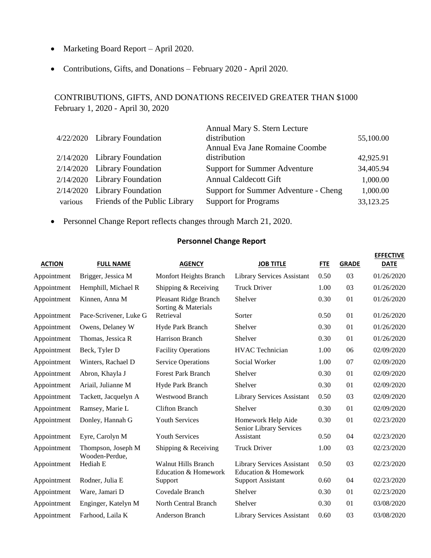- Marketing Board Report April 2020.
- Contributions, Gifts, and Donations February 2020 April 2020.

### CONTRIBUTIONS, GIFTS, AND DONATIONS RECEIVED GREATER THAN \$1000 February 1, 2020 - April 30, 2020

|         | 4/22/2020 Library Foundation  | Annual Mary S. Stern Lecture<br>distribution | 55,100.00 |
|---------|-------------------------------|----------------------------------------------|-----------|
|         |                               | Annual Eva Jane Romaine Coombe               |           |
|         | 2/14/2020 Library Foundation  | distribution                                 | 42,925.91 |
|         | 2/14/2020 Library Foundation  | <b>Support for Summer Adventure</b>          | 34,405.94 |
|         | 2/14/2020 Library Foundation  | <b>Annual Caldecott Gift</b>                 | 1,000.00  |
|         | 2/14/2020 Library Foundation  | Support for Summer Adventure - Cheng         | 1,000.00  |
| various | Friends of the Public Library | <b>Support for Programs</b>                  | 33,123.25 |

• Personnel Change Report reflects changes through March 21, 2020.

#### **Personnel Change Report**

| <b>ACTION</b> | <b>FULL NAME</b>                     | <b>AGENCY</b>                                      | <b>JOB TITLE</b>                                          | <b>FTE</b> | <b>GRADE</b> | <b>EFFECTIVE</b><br><b>DATE</b> |
|---------------|--------------------------------------|----------------------------------------------------|-----------------------------------------------------------|------------|--------------|---------------------------------|
| Appointment   | Brigger, Jessica M                   | Monfort Heights Branch                             | <b>Library Services Assistant</b>                         | 0.50       | 03           | 01/26/2020                      |
| Appointment   | Hemphill, Michael R                  | Shipping & Receiving                               | <b>Truck Driver</b>                                       | 1.00       | 03           | 01/26/2020                      |
| Appointment   | Kinnen, Anna M                       | Pleasant Ridge Branch<br>Sorting & Materials       | Shelver                                                   | 0.30       | 01           | 01/26/2020                      |
| Appointment   | Pace-Scrivener, Luke G               | Retrieval                                          | Sorter                                                    | 0.50       | 01           | 01/26/2020                      |
| Appointment   | Owens, Delaney W                     | Hyde Park Branch                                   | Shelver                                                   | 0.30       | 01           | 01/26/2020                      |
| Appointment   | Thomas, Jessica R                    | Harrison Branch                                    | Shelver                                                   | 0.30       | 01           | 01/26/2020                      |
| Appointment   | Beck, Tyler D                        | <b>Facility Operations</b>                         | <b>HVAC</b> Technician                                    | 1.00       | 06           | 02/09/2020                      |
| Appointment   | Winters, Rachael D                   | <b>Service Operations</b>                          | Social Worker                                             | 1.00       | 07           | 02/09/2020                      |
| Appointment   | Abron, Khayla J                      | <b>Forest Park Branch</b>                          | Shelver                                                   | 0.30       | 01           | 02/09/2020                      |
| Appointment   | Ariail, Julianne M                   | Hyde Park Branch                                   | Shelver                                                   | 0.30       | 01           | 02/09/2020                      |
| Appointment   | Tackett, Jacquelyn A                 | Westwood Branch                                    | <b>Library Services Assistant</b>                         | 0.50       | 03           | 02/09/2020                      |
| Appointment   | Ramsey, Marie L                      | <b>Clifton Branch</b>                              | Shelver                                                   | 0.30       | 01           | 02/09/2020                      |
| Appointment   | Donley, Hannah G                     | <b>Youth Services</b>                              | Homework Help Aide<br>Senior Library Services             | 0.30       | 01           | 02/23/2020                      |
| Appointment   | Eyre, Carolyn M                      | <b>Youth Services</b>                              | Assistant                                                 | 0.50       | 04           | 02/23/2020                      |
| Appointment   | Thompson, Joseph M<br>Wooden-Perdue, | Shipping & Receiving                               | <b>Truck Driver</b>                                       | 1.00       | 03           | 02/23/2020                      |
| Appointment   | Hediah E                             | <b>Walnut Hills Branch</b><br>Education & Homework | <b>Library Services Assistant</b><br>Education & Homework | 0.50       | 03           | 02/23/2020                      |
| Appointment   | Rodner, Julia E                      | Support                                            | <b>Support Assistant</b>                                  | 0.60       | 04           | 02/23/2020                      |
| Appointment   | Ware, Jamari D                       | Covedale Branch                                    | Shelver                                                   | 0.30       | 01           | 02/23/2020                      |
| Appointment   | Enginger, Katelyn M                  | North Central Branch                               | Shelver                                                   | 0.30       | 01           | 03/08/2020                      |
| Appointment   | Farhood, Laila K                     | <b>Anderson Branch</b>                             | Library Services Assistant                                | 0.60       | 03           | 03/08/2020                      |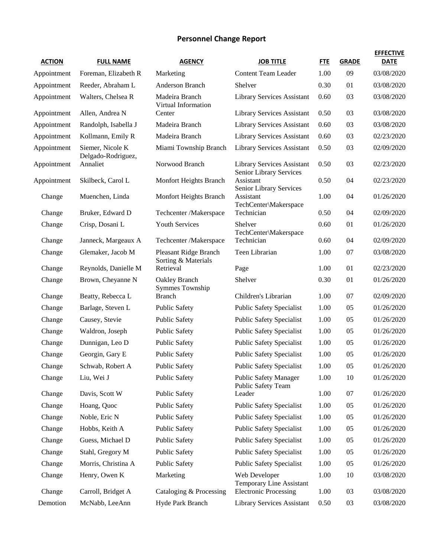## **Personnel Change Report**

| <b>ACTION</b> | <b>FULL NAME</b>                       | <b>AGENCY</b>                                       | <b>JOB TITLE</b>                                             | <b>FTE</b> | <b>GRADE</b> | <b>EFFECTIVE</b><br><b>DATE</b> |
|---------------|----------------------------------------|-----------------------------------------------------|--------------------------------------------------------------|------------|--------------|---------------------------------|
| Appointment   | Foreman, Elizabeth R                   | Marketing                                           | <b>Content Team Leader</b>                                   | 1.00       | 09           | 03/08/2020                      |
| Appointment   | Reeder, Abraham L                      | <b>Anderson Branch</b>                              | Shelver                                                      | 0.30       | 01           | 03/08/2020                      |
| Appointment   | Walters, Chelsea R                     | Madeira Branch<br>Virtual Information               | <b>Library Services Assistant</b>                            | 0.60       | 03           | 03/08/2020                      |
| Appointment   | Allen, Andrea N                        | Center                                              | <b>Library Services Assistant</b>                            | 0.50       | 03           | 03/08/2020                      |
| Appointment   | Randolph, Isabella J                   | Madeira Branch                                      | <b>Library Services Assistant</b>                            | 0.60       | 03           | 03/08/2020                      |
| Appointment   | Kollmann, Emily R                      | Madeira Branch                                      | <b>Library Services Assistant</b>                            | 0.60       | 03           | 02/23/2020                      |
| Appointment   | Siemer, Nicole K<br>Delgado-Rodriguez, | Miami Township Branch                               | <b>Library Services Assistant</b>                            | 0.50       | 03           | 02/09/2020                      |
| Appointment   | Annaliet                               | Norwood Branch                                      | <b>Library Services Assistant</b><br>Senior Library Services | 0.50       | 03           | 02/23/2020                      |
| Appointment   | Skilbeck, Carol L                      | Monfort Heights Branch                              | Assistant<br>Senior Library Services                         | 0.50       | 04           | 02/23/2020                      |
| Change        | Muenchen, Linda                        | Monfort Heights Branch                              | Assistant<br>TechCenter\Makerspace                           | 1.00       | 04           | 01/26/2020                      |
| Change        | Bruker, Edward D                       | Techcenter /Makerspace                              | Technician                                                   | 0.50       | 04           | 02/09/2020                      |
| Change        | Crisp, Dosani L                        | <b>Youth Services</b>                               | Shelver<br>TechCenter\Makerspace                             | 0.60       | 01           | 01/26/2020                      |
| Change        | Janneck, Margeaux A                    | Techcenter /Makerspace                              | Technician                                                   | 0.60       | 04           | 02/09/2020                      |
| Change        | Glemaker, Jacob M                      | <b>Pleasant Ridge Branch</b><br>Sorting & Materials | Teen Librarian                                               | 1.00       | 07           | 03/08/2020                      |
| Change        | Reynolds, Danielle M                   | Retrieval                                           | Page                                                         | 1.00       | 01           | 02/23/2020                      |
| Change        | Brown, Cheyanne N                      | Oakley Branch                                       | Shelver                                                      | 0.30       | 01           | 01/26/2020                      |
| Change        | Beatty, Rebecca L                      | <b>Symmes Township</b><br><b>Branch</b>             | Children's Librarian                                         | 1.00       | 07           | 02/09/2020                      |
| Change        | Barlage, Steven L                      | <b>Public Safety</b>                                | <b>Public Safety Specialist</b>                              | 1.00       | 05           | 01/26/2020                      |
| Change        | Causey, Stevie                         | <b>Public Safety</b>                                | <b>Public Safety Specialist</b>                              | 1.00       | 05           | 01/26/2020                      |
| Change        | Waldron, Joseph                        | <b>Public Safety</b>                                | <b>Public Safety Specialist</b>                              | 1.00       | 05           | 01/26/2020                      |
| Change        | Dunnigan, Leo D                        | <b>Public Safety</b>                                | <b>Public Safety Specialist</b>                              | 1.00       | 05           | 01/26/2020                      |
| Change        | Georgin, Gary E                        | <b>Public Safety</b>                                | <b>Public Safety Specialist</b>                              | 1.00       | 05           | 01/26/2020                      |
| Change        | Schwab, Robert A                       | <b>Public Safety</b>                                | <b>Public Safety Specialist</b>                              | 1.00       | 05           | 01/26/2020                      |
| Change        | Liu, Wei J                             | <b>Public Safety</b>                                | <b>Public Safety Manager</b><br>Public Safety Team           | 1.00       | 10           | 01/26/2020                      |
| Change        | Davis, Scott W                         | <b>Public Safety</b>                                | Leader                                                       | 1.00       | 07           | 01/26/2020                      |
| Change        | Hoang, Quoc                            | <b>Public Safety</b>                                | <b>Public Safety Specialist</b>                              | 1.00       | 05           | 01/26/2020                      |
| Change        | Noble, Eric N                          | <b>Public Safety</b>                                | <b>Public Safety Specialist</b>                              | 1.00       | 05           | 01/26/2020                      |
| Change        | Hobbs, Keith A                         | <b>Public Safety</b>                                | <b>Public Safety Specialist</b>                              | 1.00       | 05           | 01/26/2020                      |
| Change        | Guess, Michael D                       | <b>Public Safety</b>                                | <b>Public Safety Specialist</b>                              | 1.00       | 05           | 01/26/2020                      |
| Change        | Stahl, Gregory M                       | <b>Public Safety</b>                                | <b>Public Safety Specialist</b>                              | 1.00       | 05           | 01/26/2020                      |
| Change        | Morris, Christina A                    | <b>Public Safety</b>                                | <b>Public Safety Specialist</b>                              | 1.00       | 05           | 01/26/2020                      |
| Change        | Henry, Owen K                          | Marketing                                           | Web Developer<br>Temporary Line Assistant                    | 1.00       | 10           | 03/08/2020                      |
| Change        | Carroll, Bridget A                     | Cataloging & Processing                             | <b>Electronic Processing</b>                                 | 1.00       | 03           | 03/08/2020                      |
| Demotion      | McNabb, LeeAnn                         | Hyde Park Branch                                    | Library Services Assistant                                   | 0.50       | 03           | 03/08/2020                      |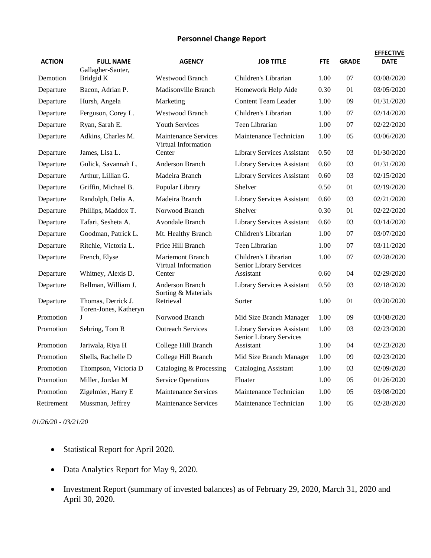#### **Personnel Change Report**

| <b>ACTION</b> | <b>FULL NAME</b><br>Gallagher-Sauter,       | <b>AGENCY</b>                                      | <b>JOB TITLE</b>                                      | <b>FTE</b> | <b>GRADE</b>   | <b>EFFECTIVE</b><br><b>DATE</b> |
|---------------|---------------------------------------------|----------------------------------------------------|-------------------------------------------------------|------------|----------------|---------------------------------|
| Demotion      | Bridgid K                                   | <b>Westwood Branch</b>                             | Children's Librarian                                  | 1.00       | 07             | 03/08/2020                      |
| Departure     | Bacon, Adrian P.                            | Madisonville Branch                                | Homework Help Aide                                    | 0.30       | 01             | 03/05/2020                      |
| Departure     | Hursh, Angela                               | Marketing                                          | <b>Content Team Leader</b>                            | 1.00       | 09             | 01/31/2020                      |
| Departure     | Ferguson, Corey L.                          | <b>Westwood Branch</b>                             | Children's Librarian                                  | 1.00       | 07             | 02/14/2020                      |
| Departure     | Ryan, Sarah E.                              | <b>Youth Services</b>                              | Teen Librarian                                        | 1.00       | 07             | 02/22/2020                      |
| Departure     | Adkins, Charles M.                          | <b>Maintenance Services</b><br>Virtual Information | Maintenance Technician                                | 1.00       | 05             | 03/06/2020                      |
| Departure     | James, Lisa L.                              | Center                                             | <b>Library Services Assistant</b>                     | 0.50       | 03             | 01/30/2020                      |
| Departure     | Gulick, Savannah L.                         | <b>Anderson Branch</b>                             | <b>Library Services Assistant</b>                     | 0.60       | 03             | 01/31/2020                      |
| Departure     | Arthur, Lillian G.                          | Madeira Branch                                     | <b>Library Services Assistant</b>                     | 0.60       | 03             | 02/15/2020                      |
| Departure     | Griffin, Michael B.                         | Popular Library                                    | Shelver                                               | 0.50       | 01             | 02/19/2020                      |
| Departure     | Randolph, Delia A.                          | Madeira Branch                                     | Library Services Assistant                            | 0.60       | 03             | 02/21/2020                      |
| Departure     | Phillips, Maddox T.                         | Norwood Branch                                     | Shelver                                               | 0.30       | 01             | 02/22/2020                      |
| Departure     | Tafari, Sesheta A.                          | <b>Avondale Branch</b>                             | <b>Library Services Assistant</b>                     | 0.60       | 03             | 03/14/2020                      |
| Departure     | Goodman, Patrick L.                         | Mt. Healthy Branch                                 | Children's Librarian                                  | 1.00       | 07             | 03/07/2020                      |
| Departure     | Ritchie, Victoria L.                        | Price Hill Branch                                  | Teen Librarian                                        | 1.00       | 07             | 03/11/2020                      |
| Departure     | French, Elyse                               | <b>Mariemont Branch</b><br>Virtual Information     | Children's Librarian<br>Senior Library Services       | 1.00       | 07             | 02/28/2020                      |
| Departure     | Whitney, Alexis D.                          | Center                                             | Assistant                                             | 0.60       | 04             | 02/29/2020                      |
| Departure     | Bellman, William J.                         | Anderson Branch<br>Sorting & Materials             | Library Services Assistant                            | 0.50       | 03             | 02/18/2020                      |
| Departure     | Thomas, Derrick J.<br>Toren-Jones, Katheryn | Retrieval                                          | Sorter                                                | 1.00       | 01             | 03/20/2020                      |
| Promotion     | J                                           | Norwood Branch                                     | Mid Size Branch Manager                               | 1.00       | 09             | 03/08/2020                      |
| Promotion     | Sebring, Tom R                              | <b>Outreach Services</b>                           | Library Services Assistant<br>Senior Library Services | 1.00       | 03             | 02/23/2020                      |
| Promotion     | Jariwala, Riya H                            | College Hill Branch                                | Assistant                                             | 1.00       | 04             | 02/23/2020                      |
| Promotion     | Shells, Rachelle D                          | College Hill Branch                                | Mid Size Branch Manager                               | 1.00       | 09             | 02/23/2020                      |
| Promotion     | Thompson, Victoria D                        | Cataloging & Processing                            | <b>Cataloging Assistant</b>                           | 1.00       | 03             | 02/09/2020                      |
| Promotion     | Miller, Jordan M                            | <b>Service Operations</b>                          | Floater                                               | 1.00       | 0 <sub>5</sub> | 01/26/2020                      |
| Promotion     | Zigelmier, Harry E                          | <b>Maintenance Services</b>                        | Maintenance Technician                                | 1.00       | 05             | 03/08/2020                      |
| Retirement    | Mussman, Jeffrey                            | Maintenance Services                               | Maintenance Technician                                | 1.00       | 0 <sub>5</sub> | 02/28/2020                      |

*01/26/20 - 03/21/20*

- Statistical Report for April 2020.
- Data Analytics Report for May 9, 2020.
- Investment Report (summary of invested balances) as of February 29, 2020, March 31, 2020 and April 30, 2020.